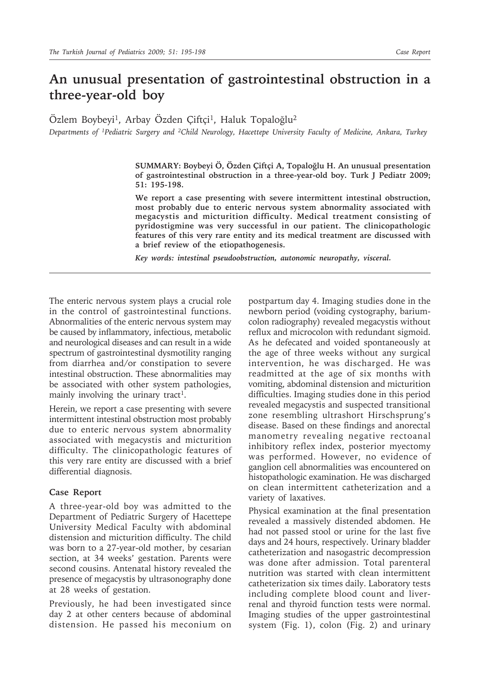# **An unusual presentation of gastrointestinal obstruction in a three-year-old boy**

Özlem Boybeyi<sup>1</sup>, Arbay Özden Çiftçi<sup>1</sup>, Haluk Topaloğlu<sup>2</sup>

*Departments of 1Pediatric Surgery and 2Child Neurology, Hacettepe University Faculty of Medicine, Ankara, Turkey*

**SUMMARY: Boybeyi Ö, Özden Çiftçi A, Topaloğlu H. An unusual presentation of gastrointestinal obstruction in a three-year-old boy. Turk J Pediatr 2009; 51: 195-198.**

**We report a case presenting with severe intermittent intestinal obstruction, most probably due to enteric nervous system abnormality associated with megacystis and micturition difficulty. Medical treatment consisting of pyridostigmine was very successful in our patient. The clinicopathologic features of this very rare entity and its medical treatment are discussed with a brief review of the etiopathogenesis.**

*Key words: intestinal pseudoobstruction, autonomic neuropathy, visceral.*

The enteric nervous system plays a crucial role in the control of gastrointestinal functions. Abnormalities of the enteric nervous system may be caused by inflammatory, infectious, metabolic and neurological diseases and can result in a wide spectrum of gastrointestinal dysmotility ranging from diarrhea and/or constipation to severe intestinal obstruction. These abnormalities may be associated with other system pathologies, mainly involving the urinary tract<sup>1</sup>.

Herein, we report a case presenting with severe intermittent intestinal obstruction most probably due to enteric nervous system abnormality associated with megacystis and micturition difficulty. The clinicopathologic features of this very rare entity are discussed with a brief differential diagnosis.

#### **Case Report**

A three-year-old boy was admitted to the Department of Pediatric Surgery of Hacettepe University Medical Faculty with abdominal distension and micturition difficulty. The child was born to a 27-year-old mother, by cesarian section, at 34 weeks' gestation. Parents were second cousins. Antenatal history revealed the presence of megacystis by ultrasonography done at 28 weeks of gestation.

Previously, he had been investigated since day 2 at other centers because of abdominal distension. He passed his meconium on

postpartum day 4. Imaging studies done in the newborn period (voiding cystography, bariumcolon radiography) revealed megacystis without reflux and microcolon with redundant sigmoid. As he defecated and voided spontaneously at the age of three weeks without any surgical intervention, he was discharged. He was readmitted at the age of six months with vomiting, abdominal distension and micturition difficulties. Imaging studies done in this period revealed megacystis and suspected transitional zone resembling ultrashort Hirschsprung's disease. Based on these findings and anorectal manometry revealing negative rectoanal inhibitory reflex index, posterior myectomy was performed. However, no evidence of ganglion cell abnormalities was encountered on histopathologic examination. He was discharged on clean intermittent catheterization and a variety of laxatives.

Physical examination at the final presentation revealed a massively distended abdomen. He had not passed stool or urine for the last five days and 24 hours, respectively. Urinary bladder catheterization and nasogastric decompression was done after admission. Total parenteral nutrition was started with clean intermittent catheterization six times daily. Laboratory tests including complete blood count and liverrenal and thyroid function tests were normal. Imaging studies of the upper gastrointestinal system (Fig. 1), colon (Fig. 2) and urinary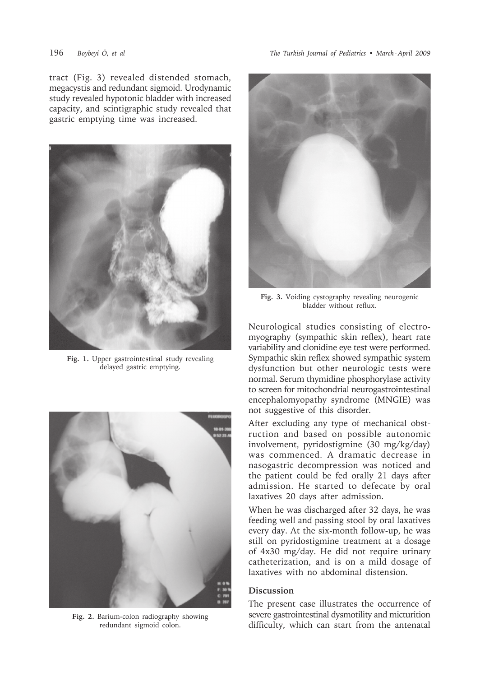tract (Fig. 3) revealed distended stomach, megacystis and redundant sigmoid. Urodynamic study revealed hypotonic bladder with increased capacity, and scintigraphic study revealed that gastric emptying time was increased.



**Fig. 1.** Upper gastrointestinal study revealing delayed gastric emptying.



**Fig. 2.** Barium-colon radiography showing redundant sigmoid colon.



**Fig. 3.** Voiding cystography revealing neurogenic bladder without reflux.

Neurological studies consisting of electromyography (sympathic skin reflex), heart rate variability and clonidine eye test were performed. Sympathic skin reflex showed sympathic system dysfunction but other neurologic tests were normal. Serum thymidine phosphorylase activity to screen for mitochondrial neurogastrointestinal encephalomyopathy syndrome (MNGIE) was not suggestive of this disorder.

After excluding any type of mechanical obstruction and based on possible autonomic involvement, pyridostigmine (30 mg/kg/day) was commenced. A dramatic decrease in nasogastric decompression was noticed and the patient could be fed orally 21 days after admission. He started to defecate by oral laxatives 20 days after admission.

When he was discharged after 32 days, he was feeding well and passing stool by oral laxatives every day. At the six-month follow-up, he was still on pyridostigmine treatment at a dosage of 4x30 mg/day. He did not require urinary catheterization, and is on a mild dosage of laxatives with no abdominal distension.

## **Discussion**

The present case illustrates the occurrence of severe gastrointestinal dysmotility and micturition difficulty, which can start from the antenatal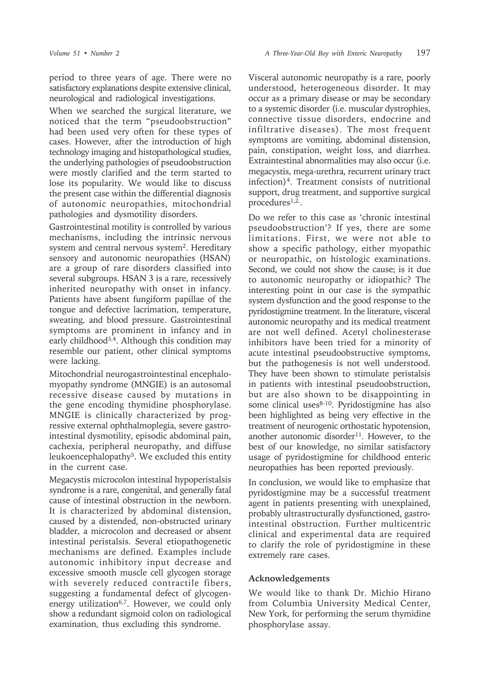period to three years of age. There were no satisfactory explanations despite extensive clinical, neurological and radiological investigations.

When we searched the surgical literature, we noticed that the term "pseudoobstruction" had been used very often for these types of cases. However, after the introduction of high technology imaging and histopathological studies, the underlying pathologies of pseudoobstruction were mostly clarified and the term started to lose its popularity. We would like to discuss the present case within the differential diagnosis of autonomic neuropathies, mitochondrial pathologies and dysmotility disorders.

Gastrointestinal motility is controlled by various mechanisms, including the intrinsic nervous system and central nervous system<sup>2</sup>. Hereditary sensory and autonomic neuropathies (HSAN) are a group of rare disorders classified into several subgroups. HSAN 3 is a rare, recessively inherited neuropathy with onset in infancy. Patients have absent fungiform papillae of the tongue and defective lacrimation, temperature, sweating, and blood pressure. Gastrointestinal symptoms are prominent in infancy and in early childhood<sup>3,4</sup>. Although this condition may resemble our patient, other clinical symptoms were lacking.

Mitochondrial neurogastrointestinal encephalomyopathy syndrome (MNGIE) is an autosomal recessive disease caused by mutations in the gene encoding thymidine phosphorylase. MNGIE is clinically characterized by progressive external ophthalmoplegia, severe gastrointestinal dysmotility, episodic abdominal pain, cachexia, peripheral neuropathy, and diffuse leukoencephalopathy<sup>5</sup>. We excluded this entity in the current case.

Megacystis microcolon intestinal hypoperistalsis syndrome is a rare, congenital, and generally fatal cause of intestinal obstruction in the newborn. It is characterized by abdominal distension, caused by a distended, non-obstructed urinary bladder, a microcolon and decreased or absent intestinal peristalsis. Several etiopathogenetic mechanisms are defined. Examples include autonomic inhibitory input decrease and excessive smooth muscle cell glycogen storage with severely reduced contractile fibers, suggesting a fundamental defect of glycogenenergy utilization<sup>6,7</sup>. However, we could only show a redundant sigmoid colon on radiological examination, thus excluding this syndrome.

Visceral autonomic neuropathy is a rare, poorly understood, heterogeneous disorder. It may occur as a primary disease or may be secondary to a systemic disorder (i.e. muscular dystrophies, connective tissue disorders, endocrine and infiltrative diseases). The most frequent symptoms are vomiting, abdominal distension, pain, constipation, weight loss, and diarrhea. Extraintestinal abnormalities may also occur (i.e. megacystis, mega-urethra, recurrent urinary tract infection)4. Treatment consists of nutritional support, drug treatment, and supportive surgical procedures<sup>1,2.</sup>.

Do we refer to this case as 'chronic intestinal pseudoobstruction'? If yes, there are some limitations. First, we were not able to show a specific pathology, either myopathic or neuropathic, on histologic examinations. Second, we could not show the cause; is it due to autonomic neuropathy or idiopathic? The interesting point in our case is the sympathic system dysfunction and the good response to the pyridostigmine treatment. In the literature, visceral autonomic neuropathy and its medical treatment are not well defined. Acetyl cholinesterase inhibitors have been tried for a minority of acute intestinal pseudoobstructive symptoms, but the pathogenesis is not well understood. They have been shown to stimulate peristalsis in patients with intestinal pseudoobstruction, but are also shown to be disappointing in some clinical uses<sup>8-10</sup>. Pyridostigmine has also been highlighted as being very effective in the treatment of neurogenic orthostatic hypotension, another autonomic disorder<sup>11</sup>. However, to the best of our knowledge, no similar satisfactory usage of pyridostigmine for childhood enteric neuropathies has been reported previously.

In conclusion, we would like to emphasize that pyridostigmine may be a successful treatment agent in patients presenting with unexplained, probably ultrastructurally dysfunctioned, gastrointestinal obstruction. Further multicentric clinical and experimental data are required to clarify the role of pyridostigmine in these extremely rare cases.

## **Acknowledgements**

We would like to thank Dr. Michio Hirano from Columbia University Medical Center, New York, for performing the serum thymidine phosphorylase assay.